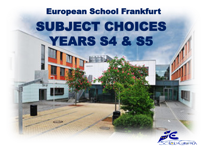# SUBJECT CHOICES YEARS S4 & S5 European School Frankfurt

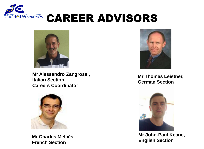

#### **DIACUROPACA CAREER ADVISORS**



**Mr Alessandro Zangrossi, Italian Section, Careers Coordinator**



**Mr Charles Melliès, French Section**



**Mr Thomas Leistner, German Section**



**Mr John-Paul Keane, English Section**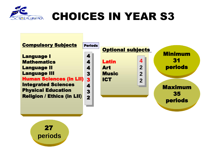

# CHOICES IN YEAR S3



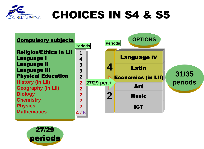

### CHOICES IN S4 & S5



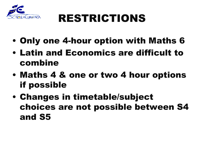

# RESTRICTIONS

- Only one 4-hour option with Maths 6
- Latin and Economics are difficult to combine
- Maths 4 & one or two 4 hour options if possible
- Changes in timetable/subject choices are not possible between S4 and S5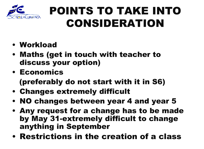

# POINTS TO TAKE INTO CONSIDERATION

- Workload
- Maths (get in touch with teacher to discuss your option)
- Economics

(preferably do not start with it in S6)

- Changes extremely difficult
- NO changes between year 4 and year 5
- Any request for a change has to be made by May 31-extremely difficult to change anything in September
- Restrictions in the creation of a class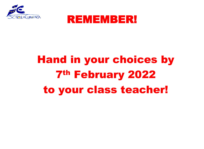



# Hand in your choices by 7th February 2022 to your class teacher!